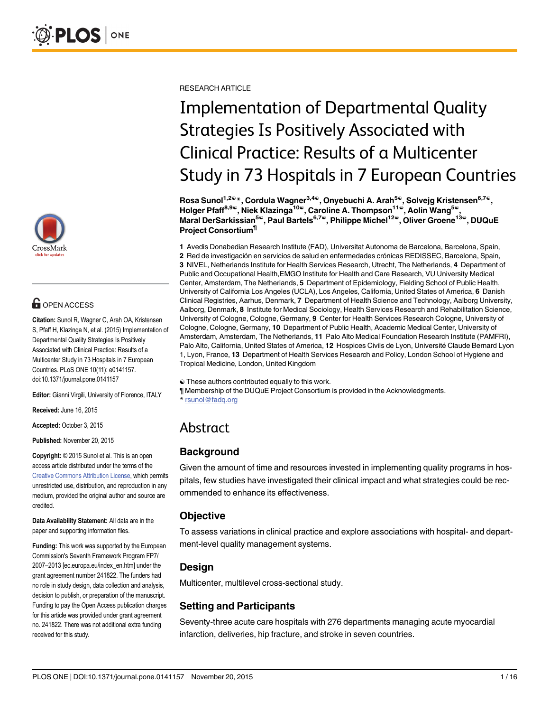

# **G** OPEN ACCESS

Citation: Sunol R, Wagner C, Arah OA, Kristensen S, Pfaff H, Klazinga N, et al. (2015) Implementation of Departmental Quality Strategies Is Positively Associated with Clinical Practice: Results of a Multicenter Study in 73 Hospitals in 7 European Countries. PLoS ONE 10(11): e0141157. doi:10.1371/journal.pone.0141157

Editor: Gianni Virgili, University of Florence, ITALY

Received: June 16, 2015

Accepted: October 3, 2015

Published: November 20, 2015

Copyright: © 2015 Sunol et al. This is an open access article distributed under the terms of the [Creative Commons Attribution License,](http://creativecommons.org/licenses/by/4.0/) which permits unrestricted use, distribution, and reproduction in any medium, provided the original author and source are credited.

Data Availability Statement: All data are in the paper and supporting information files.

Funding: This work was supported by the European Commission's Seventh Framework Program FP7/ 2007–2013 [ec.europa.eu/index\_en.htm] under the grant agreement number 241822. The funders had no role in study design, data collection and analysis, decision to publish, or preparation of the manuscript. Funding to pay the Open Access publication charges for this article was provided under grant agreement no. 241822. There was not additional extra funding received for this study.

RESEARCH ARTICLE

# Implementation of Departmental Quality Strategies Is Positively Associated with Clinical Practice: Results of a Multicenter Study in 73 Hospitals in 7 European Countries

Rosa Sunol<sup>1,2ଢ</sup>\*, Cordula Wagner<sup>3,4ଢ</sup>, Onyebuchi A. Arah<sup>5ଢ</sup>, Solvejg Kristensen<sup>6,7ଢ</sup>, Holger Pfaff<sup>8,9©</sup>, Niek Klazinga<sup>10©</sup>, Caroline A. Thompson<sup>11©</sup>, Aolin Wang<sup>5©</sup>, Maral DerSarkissian<sup>5©</sup>, Paul Bartels<sup>6,7©</sup>, Philippe Michel<sup>12©</sup>, Oliver Groene<sup>13©</sup>, DUQuE Project Consortium¶

1 Avedis Donabedian Research Institute (FAD), Universitat Autonoma de Barcelona, Barcelona, Spain, 2 Red de investigación en servicios de salud en enfermedades crónicas REDISSEC, Barcelona, Spain, 3 NIVEL, Netherlands Institute for Health Services Research, Utrecht, The Netherlands, 4 Department of Public and Occupational Health,EMGO Institute for Health and Care Research, VU University Medical Center, Amsterdam, The Netherlands, 5 Department of Epidemiology, Fielding School of Public Health, University of California Los Angeles (UCLA), Los Angeles, California, United States of America, 6 Danish Clinical Registries, Aarhus, Denmark, 7 Department of Health Science and Technology, Aalborg University, Aalborg, Denmark, 8 Institute for Medical Sociology, Health Services Research and Rehabilitation Science, University of Cologne, Cologne, Germany, 9 Center for Health Services Research Cologne, University of Cologne, Cologne, Germany, 10 Department of Public Health, Academic Medical Center, University of Amsterdam, Amsterdam, The Netherlands, 11 Palo Alto Medical Foundation Research Institute (PAMFRI), Palo Alto, California, United States of America, 12 Hospices Civils de Lyon, Université Claude Bernard Lyon 1, Lyon, France, 13 Department of Health Services Research and Policy, London School of Hygiene and Tropical Medicine, London, United Kingdom

☯ These authors contributed equally to this work.

¶ Membership of the DUQuE Project Consortium is provided in the Acknowledgments. rsunol@fadq.org

## Abstract

### **Background**

Given the amount of time and resources invested in implementing quality programs in hospitals, few studies have investigated their clinical impact and what strategies could be recommended to enhance its effectiveness.

### **Objective**

To assess variations in clinical practice and explore associations with hospital- and department-level quality management systems.

### Design

Multicenter, multilevel cross-sectional study.

### Setting and Participants

Seventy-three acute care hospitals with 276 departments managing acute myocardial infarction, deliveries, hip fracture, and stroke in seven countries.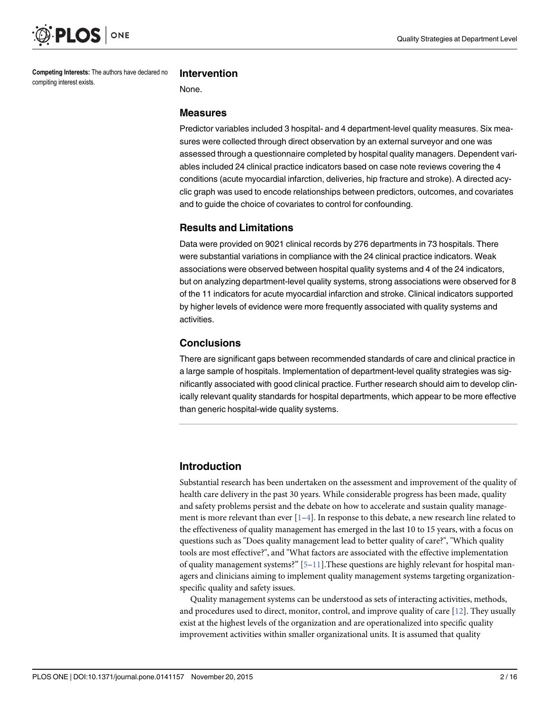<span id="page-1-0"></span>

Competing Interests: The authors have declared no compiting interest exists.

#### Intervention

None.

### Measures

Predictor variables included 3 hospital- and 4 department-level quality measures. Six measures were collected through direct observation by an external surveyor and one was assessed through a questionnaire completed by hospital quality managers. Dependent variables included 24 clinical practice indicators based on case note reviews covering the 4 conditions (acute myocardial infarction, deliveries, hip fracture and stroke). A directed acyclic graph was used to encode relationships between predictors, outcomes, and covariates and to guide the choice of covariates to control for confounding.

### Results and Limitations

Data were provided on 9021 clinical records by 276 departments in 73 hospitals. There were substantial variations in compliance with the 24 clinical practice indicators. Weak associations were observed between hospital quality systems and 4 of the 24 indicators, but on analyzing department-level quality systems, strong associations were observed for 8 of the 11 indicators for acute myocardial infarction and stroke. Clinical indicators supported by higher levels of evidence were more frequently associated with quality systems and activities.

### **Conclusions**

There are significant gaps between recommended standards of care and clinical practice in a large sample of hospitals. Implementation of department-level quality strategies was significantly associated with good clinical practice. Further research should aim to develop clinically relevant quality standards for hospital departments, which appear to be more effective than generic hospital-wide quality systems.

### Introduction

Substantial research has been undertaken on the assessment and improvement of the quality of health care delivery in the past 30 years. While considerable progress has been made, quality and safety problems persist and the debate on how to accelerate and sustain quality management is more relevant than ever  $[1-4]$  $[1-4]$  $[1-4]$ . In response to this debate, a new research line related to the effectiveness of quality management has emerged in the last 10 to 15 years, with a focus on questions such as "Does quality management lead to better quality of care?", "Which quality tools are most effective?", and "What factors are associated with the effective implementation of quality management systems?"  $[5-11]$  $[5-11]$  $[5-11]$  $[5-11]$ . These questions are highly relevant for hospital managers and clinicians aiming to implement quality management systems targeting organizationspecific quality and safety issues.

Quality management systems can be understood as sets of interacting activities, methods, and procedures used to direct, monitor, control, and improve quality of care  $[12]$ . They usually exist at the highest levels of the organization and are operationalized into specific quality improvement activities within smaller organizational units. It is assumed that quality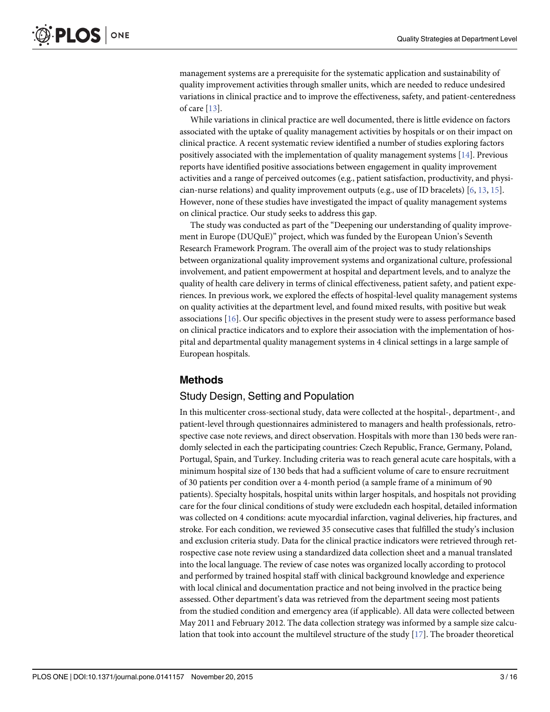<span id="page-2-0"></span>management systems are a prerequisite for the systematic application and sustainability of quality improvement activities through smaller units, which are needed to reduce undesired variations in clinical practice and to improve the effectiveness, safety, and patient-centeredness of care [\[13\]](#page-14-0).

While variations in clinical practice are well documented, there is little evidence on factors associated with the uptake of quality management activities by hospitals or on their impact on clinical practice. A recent systematic review identified a number of studies exploring factors positively associated with the implementation of quality management systems [[14](#page-14-0)]. Previous reports have identified positive associations between engagement in quality improvement activities and a range of perceived outcomes (e.g., patient satisfaction, productivity, and physician-nurse relations) and quality improvement outputs (e.g., use of ID bracelets) [\[6,](#page-14-0) [13,](#page-14-0) [15\]](#page-14-0). However, none of these studies have investigated the impact of quality management systems on clinical practice. Our study seeks to address this gap.

The study was conducted as part of the "Deepening our understanding of quality improvement in Europe (DUQuE)" project, which was funded by the European Union's Seventh Research Framework Program. The overall aim of the project was to study relationships between organizational quality improvement systems and organizational culture, professional involvement, and patient empowerment at hospital and department levels, and to analyze the quality of health care delivery in terms of clinical effectiveness, patient safety, and patient experiences. In previous work, we explored the effects of hospital-level quality management systems on quality activities at the department level, and found mixed results, with positive but weak associations [\[16\]](#page-14-0). Our specific objectives in the present study were to assess performance based on clinical practice indicators and to explore their association with the implementation of hospital and departmental quality management systems in 4 clinical settings in a large sample of European hospitals.

### Methods

### Study Design, Setting and Population

In this multicenter cross-sectional study, data were collected at the hospital-, department-, and patient-level through questionnaires administered to managers and health professionals, retrospective case note reviews, and direct observation. Hospitals with more than 130 beds were randomly selected in each the participating countries: Czech Republic, France, Germany, Poland, Portugal, Spain, and Turkey. Including criteria was to reach general acute care hospitals, with a minimum hospital size of 130 beds that had a sufficient volume of care to ensure recruitment of 30 patients per condition over a 4-month period (a sample frame of a minimum of 90 patients). Specialty hospitals, hospital units within larger hospitals, and hospitals not providing care for the four clinical conditions of study were excludedn each hospital, detailed information was collected on 4 conditions: acute myocardial infarction, vaginal deliveries, hip fractures, and stroke. For each condition, we reviewed 35 consecutive cases that fulfilled the study's inclusion and exclusion criteria study. Data for the clinical practice indicators were retrieved through retrospective case note review using a standardized data collection sheet and a manual translated into the local language. The review of case notes was organized locally according to protocol and performed by trained hospital staff with clinical background knowledge and experience with local clinical and documentation practice and not being involved in the practice being assessed. Other department's data was retrieved from the department seeing most patients from the studied condition and emergency area (if applicable). All data were collected between May 2011 and February 2012. The data collection strategy was informed by a sample size calculation that took into account the multilevel structure of the study  $[17]$  $[17]$  $[17]$ . The broader theoretical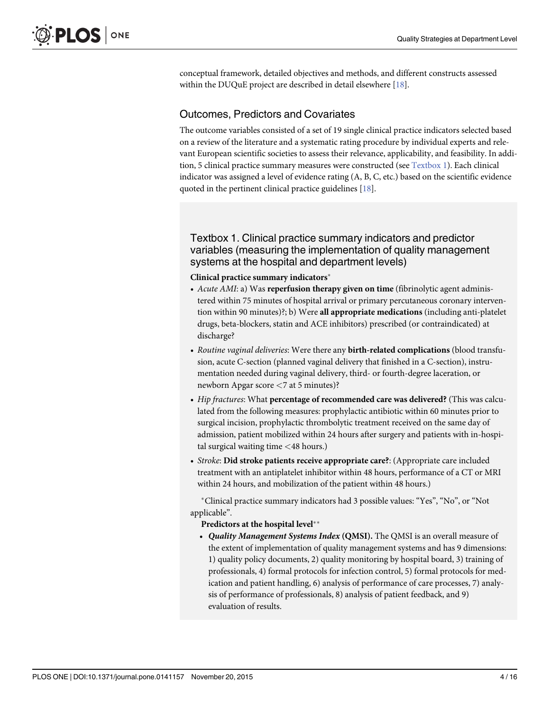<span id="page-3-0"></span>conceptual framework, detailed objectives and methods, and different constructs assessed within the DUQuE project are described in detail elsewhere [[18](#page-14-0)].

### Outcomes, Predictors and Covariates

The outcome variables consisted of a set of 19 single clinical practice indicators selected based on a review of the literature and a systematic rating procedure by individual experts and relevant European scientific societies to assess their relevance, applicability, and feasibility. In addition, 5 clinical practice summary measures were constructed (see Textbox 1). Each clinical indicator was assigned a level of evidence rating (A, B, C, etc.) based on the scientific evidence quoted in the pertinent clinical practice guidelines [[18](#page-14-0)].

### Textbox 1. Clinical practice summary indicators and predictor variables (measuring the implementation of quality management systems at the hospital and department levels)

#### Clinical practice summary indicators

- Acute AMI: a) Was reperfusion therapy given on time (fibrinolytic agent administered within 75 minutes of hospital arrival or primary percutaneous coronary intervention within 90 minutes)?; b) Were all appropriate medications (including anti-platelet drugs, beta-blockers, statin and ACE inhibitors) prescribed (or contraindicated) at discharge?
- Routine vaginal deliveries: Were there any **birth-related complications** (blood transfusion, acute C-section (planned vaginal delivery that finished in a C-section), instrumentation needed during vaginal delivery, third- or fourth-degree laceration, or newborn Apgar score <7 at 5 minutes)?
- Hip fractures: What percentage of recommended care was delivered? (This was calculated from the following measures: prophylactic antibiotic within 60 minutes prior to surgical incision, prophylactic thrombolytic treatment received on the same day of admission, patient mobilized within 24 hours after surgery and patients with in-hospital surgical waiting time <48 hours.)
- Stroke: Did stroke patients receive appropriate care?: (Appropriate care included treatment with an antiplatelet inhibitor within 48 hours, performance of a CT or MRI within 24 hours, and mobilization of the patient within 48 hours.)

Clinical practice summary indicators had 3 possible values: "Yes", "No", or "Not applicable".

#### Predictors at the hospital level\*\*

• Quality Management Systems Index (QMSI). The QMSI is an overall measure of the extent of implementation of quality management systems and has 9 dimensions: 1) quality policy documents, 2) quality monitoring by hospital board, 3) training of professionals, 4) formal protocols for infection control, 5) formal protocols for medication and patient handling, 6) analysis of performance of care processes, 7) analysis of performance of professionals, 8) analysis of patient feedback, and 9) evaluation of results.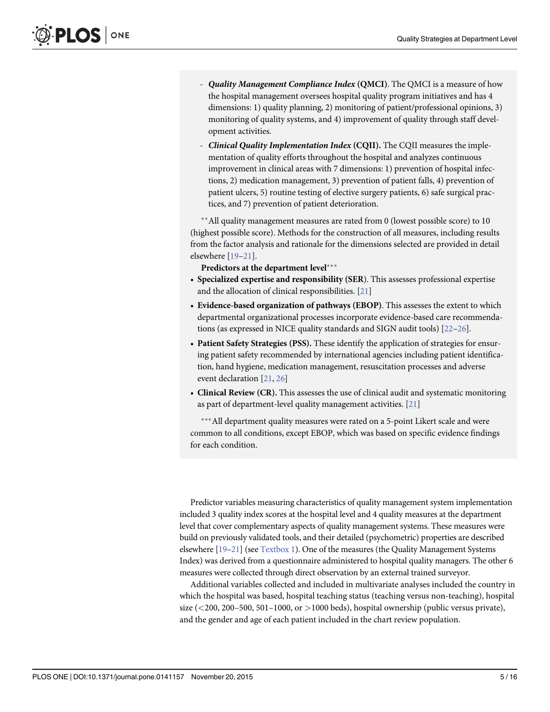- <span id="page-4-0"></span>Quality Management Compliance Index (QMCI). The QMCI is a measure of how the hospital management oversees hospital quality program initiatives and has 4 dimensions: 1) quality planning, 2) monitoring of patient/professional opinions, 3) monitoring of quality systems, and 4) improvement of quality through staff development activities.
- Clinical Quality Implementation Index (CQII). The CQII measures the implementation of quality efforts throughout the hospital and analyzes continuous improvement in clinical areas with 7 dimensions: 1) prevention of hospital infections, 2) medication management, 3) prevention of patient falls, 4) prevention of patient ulcers, 5) routine testing of elective surgery patients, 6) safe surgical practices, and 7) prevention of patient deterioration.

All quality management measures are rated from 0 (lowest possible score) to 10 (highest possible score). Methods for the construction of all measures, including results from the factor analysis and rationale for the dimensions selected are provided in detail elsewhere [\[19](#page-14-0)–[21\]](#page-14-0).

#### Predictors at the department level\*\*\*

- Specialized expertise and responsibility (SER). This assesses professional expertise and the allocation of clinical responsibilities. [\[21\]](#page-14-0)
- Evidence-based organization of pathways (EBOP). This assesses the extent to which departmental organizational processes incorporate evidence-based care recommendations (as expressed in NICE quality standards and SIGN audit tools)  $[22-26]$  $[22-26]$  $[22-26]$  $[22-26]$  $[22-26]$ .
- Patient Safety Strategies (PSS). These identify the application of strategies for ensuring patient safety recommended by international agencies including patient identification, hand hygiene, medication management, resuscitation processes and adverse event declaration [[21](#page-14-0), [26](#page-14-0)]
- Clinical Review (CR). This assesses the use of clinical audit and systematic monitoring as part of department-level quality management activities.  $[21]$

\*\*\* All department quality measures were rated on a 5-point Likert scale and were common to all conditions, except EBOP, which was based on specific evidence findings for each condition.

Predictor variables measuring characteristics of quality management system implementation included 3 quality index scores at the hospital level and 4 quality measures at the department level that cover complementary aspects of quality management systems. These measures were build on previously validated tools, and their detailed (psychometric) properties are described elsewhere  $[19-21]$  $[19-21]$  $[19-21]$  $[19-21]$  (see [Textbox 1\)](#page-3-0). One of the measures (the Quality Management Systems Index) was derived from a questionnaire administered to hospital quality managers. The other 6 measures were collected through direct observation by an external trained surveyor.

Additional variables collected and included in multivariate analyses included the country in which the hospital was based, hospital teaching status (teaching versus non-teaching), hospital size  $(<$  200, 200-500, 501-1000, or  $>$  1000 beds), hospital ownership (public versus private), and the gender and age of each patient included in the chart review population.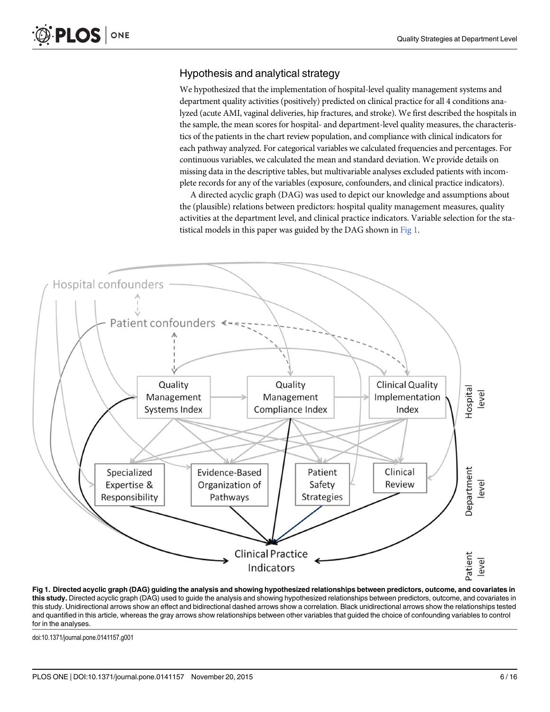### <span id="page-5-0"></span>Hypothesis and analytical strategy

We hypothesized that the implementation of hospital-level quality management systems and department quality activities (positively) predicted on clinical practice for all 4 conditions analyzed (acute AMI, vaginal deliveries, hip fractures, and stroke). We first described the hospitals in the sample, the mean scores for hospital- and department-level quality measures, the characteristics of the patients in the chart review population, and compliance with clinical indicators for each pathway analyzed. For categorical variables we calculated frequencies and percentages. For continuous variables, we calculated the mean and standard deviation. We provide details on missing data in the descriptive tables, but multivariable analyses excluded patients with incomplete records for any of the variables (exposure, confounders, and clinical practice indicators).

A directed acyclic graph (DAG) was used to depict our knowledge and assumptions about the (plausible) relations between predictors: hospital quality management measures, quality activities at the department level, and clinical practice indicators. Variable selection for the statistical models in this paper was guided by the DAG shown in Fig 1.



Fig 1. Directed acyclic graph (DAG) guiding the analysis and showing hypothesized relationships between predictors, outcome, and covariates in this study. Directed acyclic graph (DAG) used to guide the analysis and showing hypothesized relationships between predictors, outcome, and covariates in this study. Unidirectional arrows show an effect and bidirectional dashed arrows show a correlation. Black unidirectional arrows show the relationships tested and quantified in this article, whereas the gray arrows show relationships between other variables that guided the choice of confounding variables to control for in the analyses.

doi:10.1371/journal.pone.0141157.g001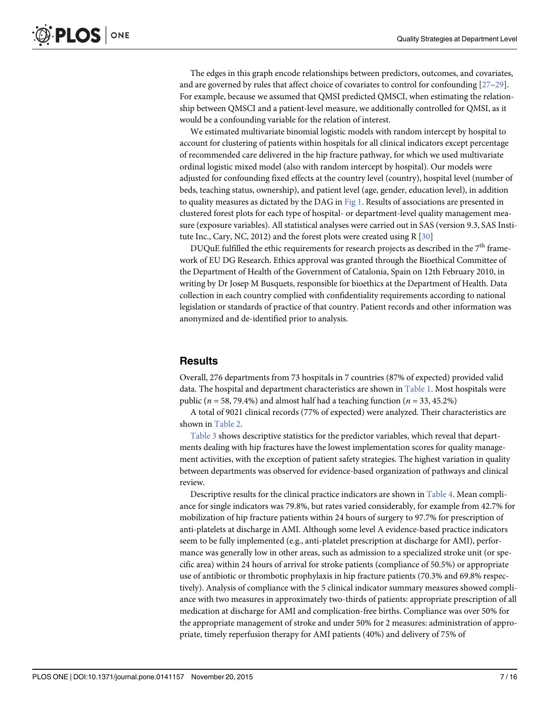<span id="page-6-0"></span>The edges in this graph encode relationships between predictors, outcomes, and covariates, and are governed by rules that affect choice of covariates to control for confounding [[27](#page-14-0)–[29](#page-15-0)]. For example, because we assumed that QMSI predicted QMSCI, when estimating the relationship between QMSCI and a patient-level measure, we additionally controlled for QMSI, as it would be a confounding variable for the relation of interest.

We estimated multivariate binomial logistic models with random intercept by hospital to account for clustering of patients within hospitals for all clinical indicators except percentage of recommended care delivered in the hip fracture pathway, for which we used multivariate ordinal logistic mixed model (also with random intercept by hospital). Our models were adjusted for confounding fixed effects at the country level (country), hospital level (number of beds, teaching status, ownership), and patient level (age, gender, education level), in addition to quality measures as dictated by the DAG in [Fig 1.](#page-5-0) Results of associations are presented in clustered forest plots for each type of hospital- or department-level quality management measure (exposure variables). All statistical analyses were carried out in SAS (version 9.3, SAS Insti-tute Inc., Cary, NC, 2012) and the forest plots were created using R [\[30](#page-15-0)]

DUQuE fulfilled the ethic requirements for research projects as described in the  $7<sup>th</sup>$  framework of EU DG Research. Ethics approval was granted through the Bioethical Committee of the Department of Health of the Government of Catalonia, Spain on 12th February 2010, in writing by Dr Josep M Busquets, responsible for bioethics at the Department of Health. Data collection in each country complied with confidentiality requirements according to national legislation or standards of practice of that country. Patient records and other information was anonymized and de-identified prior to analysis.

### **Results**

Overall, 276 departments from 73 hospitals in 7 countries (87% of expected) provided valid data. The hospital and department characteristics are shown in [Table 1.](#page-7-0) Most hospitals were public ( $n = 58, 79.4\%$ ) and almost half had a teaching function ( $n = 33, 45.2\%$ )

A total of 9021 clinical records (77% of expected) were analyzed. Their characteristics are shown in [Table 2.](#page-7-0)

[Table 3](#page-8-0) shows descriptive statistics for the predictor variables, which reveal that departments dealing with hip fractures have the lowest implementation scores for quality management activities, with the exception of patient safety strategies. The highest variation in quality between departments was observed for evidence-based organization of pathways and clinical review.

Descriptive results for the clinical practice indicators are shown in [Table 4](#page-9-0). Mean compliance for single indicators was 79.8%, but rates varied considerably, for example from 42.7% for mobilization of hip fracture patients within 24 hours of surgery to 97.7% for prescription of anti-platelets at discharge in AMI. Although some level A evidence-based practice indicators seem to be fully implemented (e.g., anti-platelet prescription at discharge for AMI), performance was generally low in other areas, such as admission to a specialized stroke unit (or specific area) within 24 hours of arrival for stroke patients (compliance of 50.5%) or appropriate use of antibiotic or thrombotic prophylaxis in hip fracture patients (70.3% and 69.8% respectively). Analysis of compliance with the 5 clinical indicator summary measures showed compliance with two measures in approximately two-thirds of patients: appropriate prescription of all medication at discharge for AMI and complication-free births. Compliance was over 50% for the appropriate management of stroke and under 50% for 2 measures: administration of appropriate, timely reperfusion therapy for AMI patients (40%) and delivery of 75% of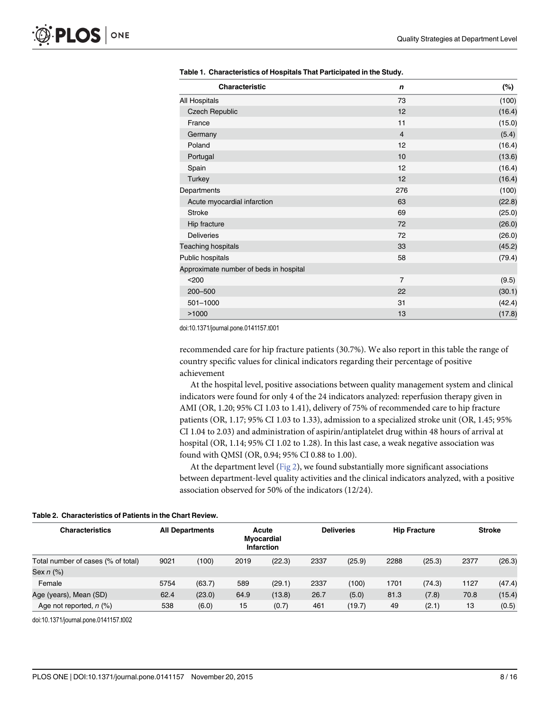| Characteristic                         | n              | (%)    |
|----------------------------------------|----------------|--------|
| All Hospitals                          | 73             | (100)  |
| <b>Czech Republic</b>                  | 12             | (16.4) |
| France                                 | 11             | (15.0) |
| Germany                                | $\overline{4}$ | (5.4)  |
| Poland                                 | 12             | (16.4) |
| Portugal                               | 10             | (13.6) |
| Spain                                  | 12             | (16.4) |
| Turkey                                 | 12             | (16.4) |
| Departments                            | 276            | (100)  |
| Acute myocardial infarction            | 63             | (22.8) |
| <b>Stroke</b>                          | 69             | (25.0) |
| Hip fracture                           | 72             | (26.0) |
| <b>Deliveries</b>                      | 72             | (26.0) |
| Teaching hospitals                     | 33             | (45.2) |
| Public hospitals                       | 58             | (79.4) |
| Approximate number of beds in hospital |                |        |
| $200$                                  | $\overline{7}$ | (9.5)  |
| 200-500                                | 22             | (30.1) |
| 501-1000                               | 31             | (42.4) |
| >1000                                  | 13             | (17.8) |

#### <span id="page-7-0"></span>[Table 1.](#page-6-0) Characteristics of Hospitals That Participated in the Study.

doi:10.1371/journal.pone.0141157.t001

recommended care for hip fracture patients (30.7%). We also report in this table the range of country specific values for clinical indicators regarding their percentage of positive achievement

At the hospital level, positive associations between quality management system and clinical indicators were found for only 4 of the 24 indicators analyzed: reperfusion therapy given in AMI (OR, 1.20; 95% CI 1.03 to 1.41), delivery of 75% of recommended care to hip fracture patients (OR, 1.17; 95% CI 1.03 to 1.33), admission to a specialized stroke unit (OR, 1.45; 95% CI 1.04 to 2.03) and administration of aspirin/antiplatelet drug within 48 hours of arrival at hospital (OR, 1.14; 95% CI 1.02 to 1.28). In this last case, a weak negative association was found with QMSI (OR, 0.94; 95% CI 0.88 to 1.00).

At the department level  $(Fig_2)$ , we found substantially more significant associations between department-level quality activities and the clinical indicators analyzed, with a positive association observed for 50% of the indicators (12/24).

| Table 2. Characteristics of Patients in the Chart Review. |  |
|-----------------------------------------------------------|--|
|-----------------------------------------------------------|--|

| <b>Characteristics</b>             | <b>All Departments</b><br>Acute<br><b>Myocardial</b><br><b>Infarction</b> |        |      |        | <b>Deliveries</b> |        | <b>Hip Fracture</b> | <b>Stroke</b> |      |        |
|------------------------------------|---------------------------------------------------------------------------|--------|------|--------|-------------------|--------|---------------------|---------------|------|--------|
| Total number of cases (% of total) | 9021                                                                      | (100)  | 2019 | (22.3) | 2337              | (25.9) | 2288                | (25.3)        | 2377 | (26.3) |
| Sex n (%)                          |                                                                           |        |      |        |                   |        |                     |               |      |        |
| Female                             | 5754                                                                      | (63.7) | 589  | (29.1) | 2337              | (100)  | 1701                | (74.3)        | 1127 | (47.4) |
| Age (years), Mean (SD)             | 62.4                                                                      | (23.0) | 64.9 | (13.8) | 26.7              | (5.0)  | 81.3                | (7.8)         | 70.8 | (15.4) |
| Age not reported, $n$ $(\%)$       | 538                                                                       | (6.0)  | 15   | (0.7)  | 461               | (19.7) | 49                  | (2.1)         | 13   | (0.5)  |

doi:10.1371/journal.pone.0141157.t002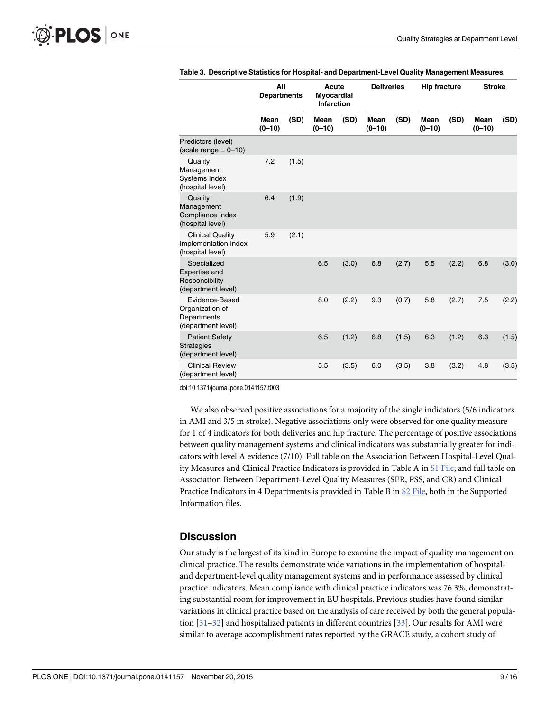|                                                                             | All<br><b>Departments</b> |       | Acute<br><b>Myocardial</b><br><b>Infarction</b> |       | <b>Deliveries</b>  |       | <b>Hip fracture</b> |       | <b>Stroke</b>             |       |
|-----------------------------------------------------------------------------|---------------------------|-------|-------------------------------------------------|-------|--------------------|-------|---------------------|-------|---------------------------|-------|
|                                                                             | <b>Mean</b><br>$(0-10)$   | (SD)  | Mean<br>$(0 - 10)$                              | (SD)  | Mean<br>$(0 - 10)$ | (SD)  | Mean<br>$(0 - 10)$  | (SD)  | <b>Mean</b><br>$(0 - 10)$ | (SD)  |
| Predictors (level)<br>$(scale range = 0-10)$                                |                           |       |                                                 |       |                    |       |                     |       |                           |       |
| Quality<br>Management<br><b>Systems Index</b><br>(hospital level)           | 7.2                       | (1.5) |                                                 |       |                    |       |                     |       |                           |       |
| Quality<br>Management<br>Compliance Index<br>(hospital level)               | 6.4                       | (1.9) |                                                 |       |                    |       |                     |       |                           |       |
| <b>Clinical Quality</b><br>Implementation Index<br>(hospital level)         | 5.9                       | (2.1) |                                                 |       |                    |       |                     |       |                           |       |
| Specialized<br><b>Expertise and</b><br>Responsibility<br>(department level) |                           |       | 6.5                                             | (3.0) | 6.8                | (2.7) | 5.5                 | (2.2) | 6.8                       | (3.0) |
| Evidence-Based<br>Organization of<br>Departments<br>(department level)      |                           |       | 8.0                                             | (2.2) | 9.3                | (0.7) | 5.8                 | (2.7) | 7.5                       | (2.2) |
| <b>Patient Safety</b><br><b>Strategies</b><br>(department level)            |                           |       | 6.5                                             | (1.2) | 6.8                | (1.5) | 6.3                 | (1.2) | 6.3                       | (1.5) |
| <b>Clinical Review</b><br>(department level)                                |                           |       | 5.5                                             | (3.5) | 6.0                | (3.5) | 3.8                 | (3.2) | 4.8                       | (3.5) |

<span id="page-8-0"></span>[Table 3.](#page-6-0) Descriptive Statistics for Hospital- and Department-Level Quality Management Measures.

doi:10.1371/journal.pone.0141157.t003

We also observed positive associations for a majority of the single indicators (5/6 indicators in AMI and 3/5 in stroke). Negative associations only were observed for one quality measure for 1 of 4 indicators for both deliveries and hip fracture. The percentage of positive associations between quality management systems and clinical indicators was substantially greater for indicators with level A evidence (7/10). Full table on the Association Between Hospital-Level Quality Measures and Clinical Practice Indicators is provided in Table A in [S1 File;](#page-12-0) and full table on Association Between Department-Level Quality Measures (SER, PSS, and CR) and Clinical Practice Indicators in 4 Departments is provided in Table B in [S2 File,](#page-13-0) both in the Supported Information files.

### **Discussion**

Our study is the largest of its kind in Europe to examine the impact of quality management on clinical practice. The results demonstrate wide variations in the implementation of hospitaland department-level quality management systems and in performance assessed by clinical practice indicators. Mean compliance with clinical practice indicators was 76.3%, demonstrating substantial room for improvement in EU hospitals. Previous studies have found similar variations in clinical practice based on the analysis of care received by both the general population [[31](#page-15-0)–[32\]](#page-15-0) and hospitalized patients in different countries [[33](#page-15-0)]. Our results for AMI were similar to average accomplishment rates reported by the GRACE study, a cohort study of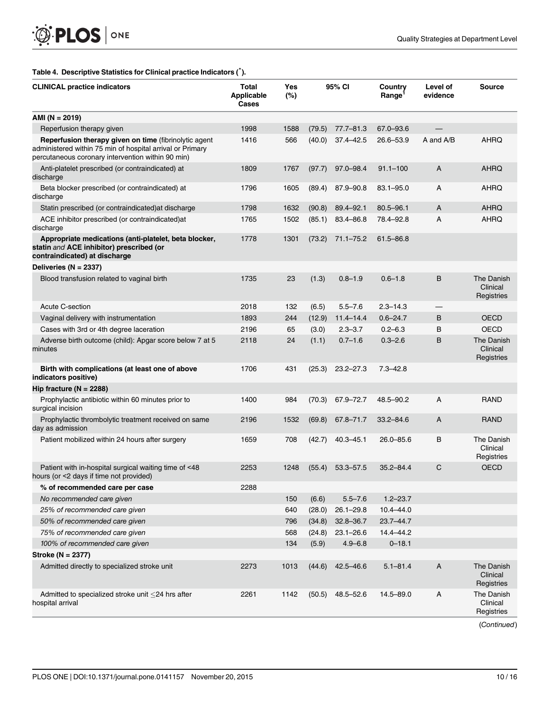#### <span id="page-9-0"></span>[Table 4.](#page-6-0) Descriptive Statistics for Clinical practice Indicators (\* ).

| <b>CLINICAL practice indicators</b>                                                                                                                                     | <b>Total</b><br>Applicable<br>Cases | Yes<br>(%) | 95% CI |               | Country<br>Range <sup>1</sup> | Level of<br>evidence     | <b>Source</b>                        |
|-------------------------------------------------------------------------------------------------------------------------------------------------------------------------|-------------------------------------|------------|--------|---------------|-------------------------------|--------------------------|--------------------------------------|
| AMI ( $N = 2019$ )                                                                                                                                                      |                                     |            |        |               |                               |                          |                                      |
| Reperfusion therapy given                                                                                                                                               | 1998                                | 1588       | (79.5) | 77.7-81.3     | 67.0 - 93.6                   |                          |                                      |
| Reperfusion therapy given on time (fibrinolytic agent<br>administered within 75 min of hospital arrival or Primary<br>percutaneous coronary intervention within 90 min) | 1416                                | 566        | (40.0) | $37.4 - 42.5$ | 26.6-53.9                     | A and A/B                | <b>AHRQ</b>                          |
| Anti-platelet prescribed (or contraindicated) at<br>discharge                                                                                                           | 1809                                | 1767       | (97.7) | 97.0-98.4     | $91.1 - 100$                  | A                        | <b>AHRQ</b>                          |
| Beta blocker prescribed (or contraindicated) at<br>discharge                                                                                                            | 1796                                | 1605       | (89.4) | 87.9-90.8     | $83.1 - 95.0$                 | Α                        | <b>AHRQ</b>                          |
| Statin prescribed (or contraindicated) at discharge                                                                                                                     | 1798                                | 1632       | (90.8) | 89.4-92.1     | $80.5 - 96.1$                 | A                        | <b>AHRQ</b>                          |
| ACE inhibitor prescribed (or contraindicated)at<br>discharge                                                                                                            | 1765                                | 1502       | (85.1) | 83.4-86.8     | 78.4-92.8                     | Α                        | <b>AHRQ</b>                          |
| Appropriate medications (anti-platelet, beta blocker,<br>statin and ACE inhibitor) prescribed (or<br>contraindicated) at discharge                                      | 1778                                | 1301       | (73.2) | $71.1 - 75.2$ | $61.5 - 86.8$                 |                          |                                      |
| Deliveries ( $N = 2337$ )                                                                                                                                               |                                     |            |        |               |                               |                          |                                      |
| Blood transfusion related to vaginal birth                                                                                                                              | 1735                                | 23         | (1.3)  | $0.8 - 1.9$   | $0.6 - 1.8$                   | B                        | The Danish<br>Clinical<br>Registries |
| Acute C-section                                                                                                                                                         | 2018                                | 132        | (6.5)  | $5.5 - 7.6$   | $2.3 - 14.3$                  | $\overline{\phantom{0}}$ |                                      |
| Vaginal delivery with instrumentation                                                                                                                                   | 1893                                | 244        | (12.9) | $11.4 - 14.4$ | $0.6 - 24.7$                  | B                        | <b>OECD</b>                          |
| Cases with 3rd or 4th degree laceration                                                                                                                                 | 2196                                | 65         | (3.0)  | $2.3 - 3.7$   | $0.2 - 6.3$                   | B                        | <b>OECD</b>                          |
| Adverse birth outcome (child): Apgar score below 7 at 5<br>minutes                                                                                                      | 2118                                | 24         | (1.1)  | $0.7 - 1.6$   | $0.3 - 2.6$                   | B                        | The Danish<br>Clinical<br>Registries |
| Birth with complications (at least one of above<br>indicators positive)                                                                                                 | 1706                                | 431        | (25.3) | $23.2 - 27.3$ | $7.3 - 42.8$                  |                          |                                      |
| Hip fracture ( $N = 2288$ )                                                                                                                                             |                                     |            |        |               |                               |                          |                                      |
| Prophylactic antibiotic within 60 minutes prior to<br>surgical incision                                                                                                 | 1400                                | 984        | (70.3) | 67.9-72.7     | 48.5-90.2                     | Α                        | <b>RAND</b>                          |
| Prophylactic thrombolytic treatment received on same<br>day as admission                                                                                                | 2196                                | 1532       | (69.8) | 67.8-71.7     | $33.2 - 84.6$                 | A                        | <b>RAND</b>                          |
| Patient mobilized within 24 hours after surgery                                                                                                                         | 1659                                | 708        | (42.7) | $40.3 - 45.1$ | $26.0 - 85.6$                 | B                        | The Danish<br>Clinical<br>Registries |
| Patient with in-hospital surgical waiting time of <48<br>hours (or <2 days if time not provided)                                                                        | 2253                                | 1248       | (55.4) | 53.3 - 57.5   | $35.2 - 84.4$                 | C                        | <b>OECD</b>                          |
| % of recommended care per case                                                                                                                                          | 2288                                |            |        |               |                               |                          |                                      |
| No recommended care given                                                                                                                                               |                                     | 150        | (6.6)  | $5.5 - 7.6$   | $1.2 - 23.7$                  |                          |                                      |
| 25% of recommended care given                                                                                                                                           |                                     | 640        | (28.0) | $26.1 - 29.8$ | $10.4 - 44.0$                 |                          |                                      |
| 50% of recommended care given                                                                                                                                           |                                     | 796        | (34.8) | 32.8-36.7     | $23.7 - 44.7$                 |                          |                                      |
| 75% of recommended care given                                                                                                                                           |                                     | 568        | (24.8) | $23.1 - 26.6$ | 14.4-44.2                     |                          |                                      |
| 100% of recommended care given                                                                                                                                          |                                     | 134        | (5.9)  | $4.9 - 6.8$   | $0 - 18.1$                    |                          |                                      |
| Stroke (N = 2377)                                                                                                                                                       |                                     |            |        |               |                               |                          |                                      |
| Admitted directly to specialized stroke unit                                                                                                                            | 2273                                | 1013       | (44.6) | 42.5-46.6     | $5.1 - 81.4$                  | A                        | The Danish<br>Clinical<br>Registries |
| Admitted to specialized stroke unit ≤24 hrs after<br>hospital arrival                                                                                                   | 2261                                | 1142       | (50.5) | 48.5-52.6     | 14.5-89.0                     | Α                        | The Danish<br>Clinical<br>Registries |

(Continued)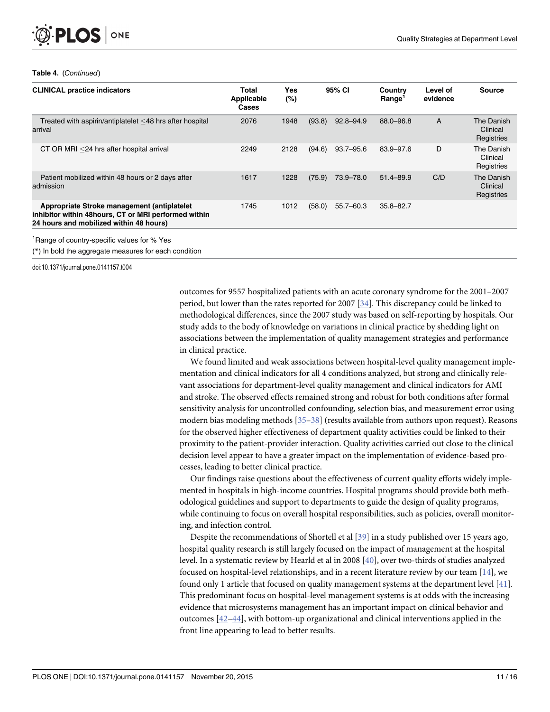#### <span id="page-10-0"></span>Table 4. (Continued)

| <b>CLINICAL practice indicators</b>                                                                                                             | Total<br>Applicable<br>Cases | Yes<br>(%) | 95% CI |               | Country<br>Range <sup>'</sup> | Level of<br>evidence | <b>Source</b>                        |
|-------------------------------------------------------------------------------------------------------------------------------------------------|------------------------------|------------|--------|---------------|-------------------------------|----------------------|--------------------------------------|
| Treated with aspirin/antiplatelet $\leq$ 48 hrs after hospital<br>arrival                                                                       | 2076                         | 1948       | (93.8) | $92.8 - 94.9$ | 88.0-96.8                     | A                    | The Danish<br>Clinical<br>Registries |
| CT OR MRI $<$ 24 hrs after hospital arrival                                                                                                     | 2249                         | 2128       | (94.6) | 93.7-95.6     | 83.9-97.6                     | D                    | The Danish<br>Clinical<br>Registries |
| Patient mobilized within 48 hours or 2 days after<br>admission                                                                                  | 1617                         | 1228       | (75.9) | 73.9-78.0     | $51.4 - 89.9$                 | C/D                  | The Danish<br>Clinical<br>Registries |
| Appropriate Stroke management (antiplatelet<br>inhibitor within 48 hours, CT or MRI performed within<br>24 hours and mobilized within 48 hours) | 1745                         | 1012       | (58.0) | 55.7-60.3     | $35.8 - 82.7$                 |                      |                                      |
| <sup>1</sup> Range of country-specific values for % Yes                                                                                         |                              |            |        |               |                               |                      |                                      |

(\*) In bold the aggregate measures for each condition

doi:10.1371/journal.pone.0141157.t004

outcomes for 9557 hospitalized patients with an acute coronary syndrome for the 2001–2007 period, but lower than the rates reported for 2007 [\[34\]](#page-15-0). This discrepancy could be linked to methodological differences, since the 2007 study was based on self-reporting by hospitals. Our study adds to the body of knowledge on variations in clinical practice by shedding light on associations between the implementation of quality management strategies and performance in clinical practice.

We found limited and weak associations between hospital-level quality management implementation and clinical indicators for all 4 conditions analyzed, but strong and clinically relevant associations for department-level quality management and clinical indicators for AMI and stroke. The observed effects remained strong and robust for both conditions after formal sensitivity analysis for uncontrolled confounding, selection bias, and measurement error using modern bias modeling methods [\[35](#page-15-0)–[38\]](#page-15-0) (results available from authors upon request). Reasons for the observed higher effectiveness of department quality activities could be linked to their proximity to the patient-provider interaction. Quality activities carried out close to the clinical decision level appear to have a greater impact on the implementation of evidence-based processes, leading to better clinical practice.

Our findings raise questions about the effectiveness of current quality efforts widely implemented in hospitals in high-income countries. Hospital programs should provide both methodological guidelines and support to departments to guide the design of quality programs, while continuing to focus on overall hospital responsibilities, such as policies, overall monitoring, and infection control.

Despite the recommendations of Shortell et al [\[39](#page-15-0)] in a study published over 15 years ago, hospital quality research is still largely focused on the impact of management at the hospital level. In a systematic review by Hearld et al in 2008 [[40](#page-15-0)], over two-thirds of studies analyzed focused on hospital-level relationships, and in a recent literature review by our team  $[14]$  $[14]$ , we found only 1 article that focused on quality management systems at the department level [[41](#page-15-0)]. This predominant focus on hospital-level management systems is at odds with the increasing evidence that microsystems management has an important impact on clinical behavior and outcomes  $[42-44]$  $[42-44]$  $[42-44]$  $[42-44]$  $[42-44]$ , with bottom-up organizational and clinical interventions applied in the front line appearing to lead to better results.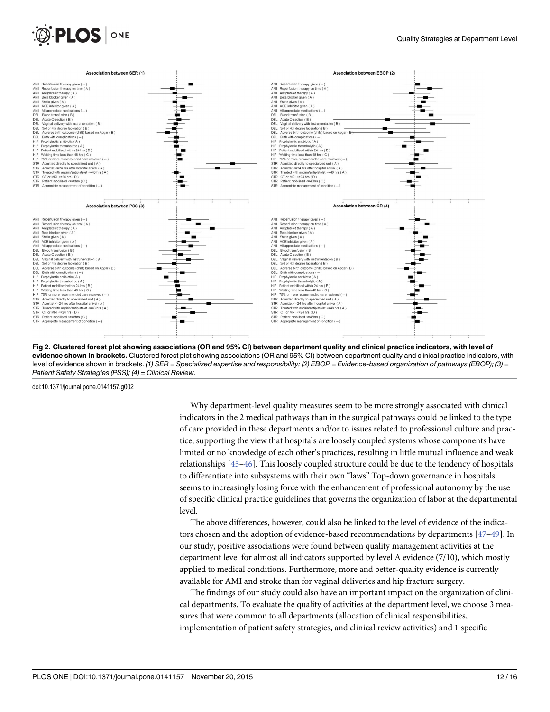<span id="page-11-0"></span>



[Fig 2. C](#page-7-0)lustered forest plot showing associations (OR and 95% CI) between department quality and clinical practice indicators, with level of evidence shown in brackets. Clustered forest plot showing associations (OR and 95% CI) between department quality and clinical practice indicators, with level of evidence shown in brackets. (1) SER = Specialized expertise and responsibility; (2) EBOP = Evidence-based organization of pathways (EBOP); (3) = Patient Safety Strategies (PSS); (4) = Clinical Review.

doi:10.1371/journal.pone.0141157.g002

Why department-level quality measures seem to be more strongly associated with clinical indicators in the 2 medical pathways than in the surgical pathways could be linked to the type of care provided in these departments and/or to issues related to professional culture and practice, supporting the view that hospitals are loosely coupled systems whose components have limited or no knowledge of each other's practices, resulting in little mutual influence and weak relationships [[45](#page-15-0)–[46](#page-15-0)]. This loosely coupled structure could be due to the tendency of hospitals to differentiate into subsystems with their own "laws" Top-down governance in hospitals seems to increasingly losing force with the enhancement of professional autonomy by the use of specific clinical practice guidelines that governs the organization of labor at the departmental level.

The above differences, however, could also be linked to the level of evidence of the indicators chosen and the adoption of evidence-based recommendations by departments  $[47-49]$  $[47-49]$  $[47-49]$  $[47-49]$ . In our study, positive associations were found between quality management activities at the department level for almost all indicators supported by level A evidence (7/10), which mostly applied to medical conditions. Furthermore, more and better-quality evidence is currently available for AMI and stroke than for vaginal deliveries and hip fracture surgery.

The findings of our study could also have an important impact on the organization of clinical departments. To evaluate the quality of activities at the department level, we choose 3 measures that were common to all departments (allocation of clinical responsibilities, implementation of patient safety strategies, and clinical review activities) and 1 specific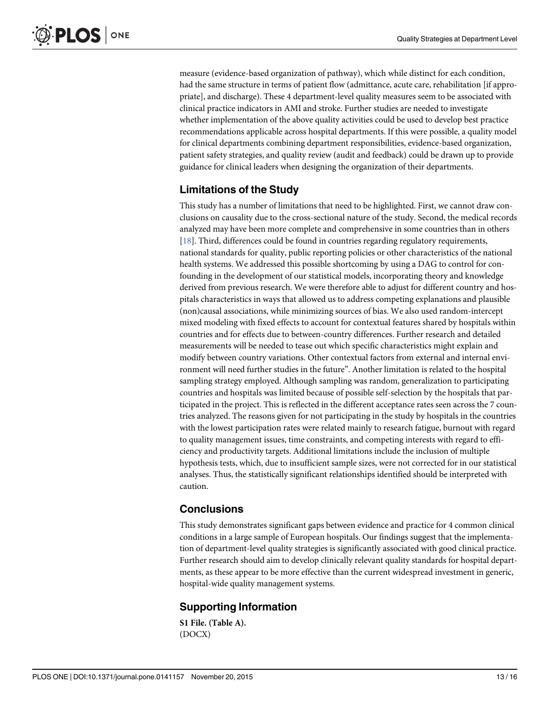<span id="page-12-0"></span>measure (evidence-based organization of pathway), which while distinct for each condition, had the same structure in terms of patient flow (admittance, acute care, rehabilitation [if appropriate], and discharge). These 4 department-level quality measures seem to be associated with clinical practice indicators in AMI and stroke. Further studies are needed to investigate whether implementation of the above quality activities could be used to develop best practice recommendations applicable across hospital departments. If this were possible, a quality model for clinical departments combining department responsibilities, evidence-based organization, patient safety strategies, and quality review (audit and feedback) could be drawn up to provide guidance for clinical leaders when designing the organization of their departments.

### Limitations of the Study

This study has a number of limitations that need to be highlighted. First, we cannot draw conclusions on causality due to the cross-sectional nature of the study. Second, the medical records analyzed may have been more complete and comprehensive in some countries than in others [\[18](#page-14-0)]. Third, differences could be found in countries regarding regulatory requirements, national standards for quality, public reporting policies or other characteristics of the national health systems. We addressed this possible shortcoming by using a DAG to control for confounding in the development of our statistical models, incorporating theory and knowledge derived from previous research. We were therefore able to adjust for different country and hospitals characteristics in ways that allowed us to address competing explanations and plausible (non)causal associations, while minimizing sources of bias. We also used random-intercept mixed modeling with fixed effects to account for contextual features shared by hospitals within countries and for effects due to between-country differences. Further research and detailed measurements will be needed to tease out which specific characteristics might explain and modify between country variations. Other contextual factors from external and internal environment will need further studies in the future". Another limitation is related to the hospital sampling strategy employed. Although sampling was random, generalization to participating countries and hospitals was limited because of possible self-selection by the hospitals that participated in the project. This is reflected in the different acceptance rates seen across the 7 countries analyzed. The reasons given for not participating in the study by hospitals in the countries with the lowest participation rates were related mainly to research fatigue, burnout with regard to quality management issues, time constraints, and competing interests with regard to efficiency and productivity targets. Additional limitations include the inclusion of multiple hypothesis tests, which, due to insufficient sample sizes, were not corrected for in our statistical analyses. Thus, the statistically significant relationships identified should be interpreted with caution.

### **Conclusions**

This study demonstrates significant gaps between evidence and practice for 4 common clinical conditions in a large sample of European hospitals. Our findings suggest that the implementation of department-level quality strategies is significantly associated with good clinical practice. Further research should aim to develop clinically relevant quality standards for hospital departments, as these appear to be more effective than the current widespread investment in generic, hospital-wide quality management systems.

### Supporting Information

[S1 File.](http://www.plosone.org/article/fetchSingleRepresentation.action?uri=info:doi/10.1371/journal.pone.0141157.s001) (Table A). (DOCX)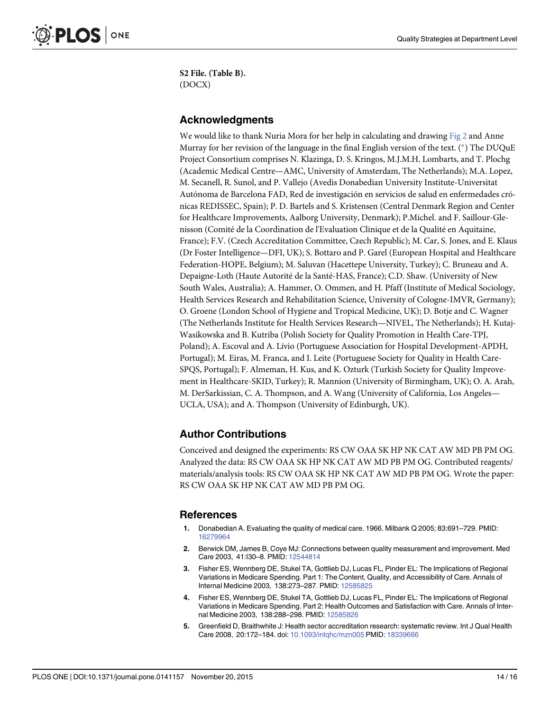<span id="page-13-0"></span>[S2 File.](http://www.plosone.org/article/fetchSingleRepresentation.action?uri=info:doi/10.1371/journal.pone.0141157.s002) (Table B). (DOCX)

### Acknowledgments

We would like to thank Nuria Mora for her help in calculating and drawing  $Fig 2$  and Anne Murray for her revision of the language in the final English version of the text. (\*) The DUQuE Project Consortium comprises N. Klazinga, D. S. Kringos, M.J.M.H. Lombarts, and T. Plochg (Academic Medical Centre—AMC, University of Amsterdam, The Netherlands); M.A. Lopez, M. Secanell, R. Sunol, and P. Vallejo (Avedis Donabedian University Institute-Universitat Autónoma de Barcelona FAD, Red de investigación en servicios de salud en enfermedades crónicas REDISSEC, Spain); P. D. Bartels and S. Kristensen (Central Denmark Region and Center for Healthcare Improvements, Aalborg University, Denmark); P.Michel. and F. Saillour-Glenisson (Comité de la Coordination de l'Evaluation Clinique et de la Qualité en Aquitaine, France); F.V. (Czech Accreditation Committee, Czech Republic); M. Car, S. Jones, and E. Klaus (Dr Foster Intelligence—DFI, UK); S. Bottaro and P. Garel (European Hospital and Healthcare Federation-HOPE, Belgium); M. Saluvan (Hacettepe University, Turkey); C. Bruneau and A. Depaigne-Loth (Haute Autorité de la Santé-HAS, France); C.D. Shaw. (University of New South Wales, Australia); A. Hammer, O. Ommen, and H. Pfaff (Institute of Medical Sociology, Health Services Research and Rehabilitation Science, University of Cologne-IMVR, Germany); O. Groene (London School of Hygiene and Tropical Medicine, UK); D. Botje and C. Wagner (The Netherlands Institute for Health Services Research—NIVEL, The Netherlands); H. Kutaj-Wasikowska and B. Kutriba (Polish Society for Quality Promotion in Health Care-TPJ, Poland); A. Escoval and A. Lívio (Portuguese Association for Hospital Development-APDH, Portugal); M. Eiras, M. Franca, and I. Leite (Portuguese Society for Quality in Health Care-SPQS, Portugal); F. Almeman, H. Kus, and K. Ozturk (Turkish Society for Quality Improvement in Healthcare-SKID, Turkey); R. Mannion (University of Birmingham, UK); O. A. Arah, M. DerSarkissian, C. A. Thompson, and A. Wang (University of California, Los Angeles— UCLA, USA); and A. Thompson (University of Edinburgh, UK).

### Author Contributions

Conceived and designed the experiments: RS CW OAA SK HP NK CAT AW MD PB PM OG. Analyzed the data: RS CW OAA SK HP NK CAT AW MD PB PM OG. Contributed reagents/ materials/analysis tools: RS CW OAA SK HP NK CAT AW MD PB PM OG. Wrote the paper: RS CW OAA SK HP NK CAT AW MD PB PM OG.

### References

- [1.](#page-1-0) Donabedian A. Evaluating the quality of medical care. 1966. Milbank Q 2005; 83:691–729. PMID: [16279964](http://www.ncbi.nlm.nih.gov/pubmed/16279964)
- 2. Berwick DM, James B, Coye MJ: Connections between quality measurement and improvement. Med Care 2003, 41:I30–8. PMID: [12544814](http://www.ncbi.nlm.nih.gov/pubmed/12544814)
- 3. Fisher ES, Wennberg DE, Stukel TA, Gottlieb DJ, Lucas FL, Pinder EL: The Implications of Regional Variations in Medicare Spending. Part 1: The Content, Quality, and Accessibility of Care. Annals of Internal Medicine 2003, 138:273–287. PMID: [12585825](http://www.ncbi.nlm.nih.gov/pubmed/12585825)
- [4.](#page-1-0) Fisher ES, Wennberg DE, Stukel TA, Gottlieb DJ, Lucas FL, Pinder EL: The Implications of Regional Variations in Medicare Spending. Part 2: Health Outcomes and Satisfaction with Care. Annals of Internal Medicine 2003, 138:288–298. PMID: [12585826](http://www.ncbi.nlm.nih.gov/pubmed/12585826)
- [5.](#page-1-0) Greenfield D, Braithwhite J: Health sector accreditation research: systematic review. Int J Qual Health Care 2008, 20:172–184. doi: [10.1093/intqhc/mzn005](http://dx.doi.org/10.1093/intqhc/mzn005) PMID: [18339666](http://www.ncbi.nlm.nih.gov/pubmed/18339666)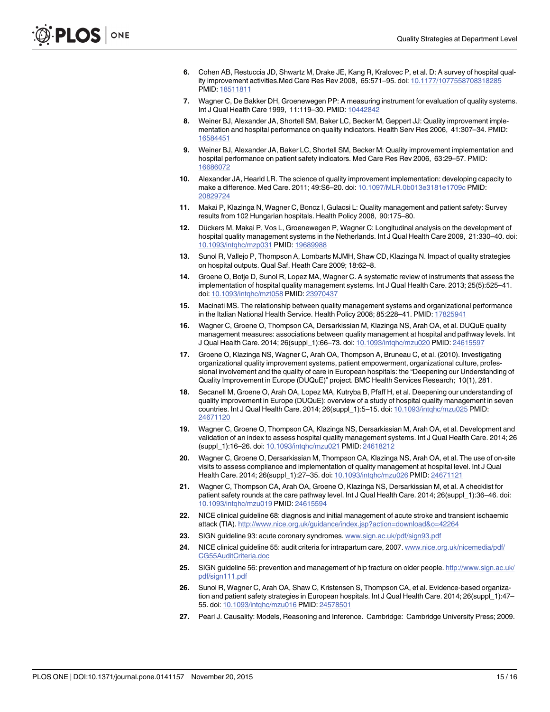- <span id="page-14-0"></span>[6.](#page-2-0) Cohen AB, Restuccia JD, Shwartz M, Drake JE, Kang R, Kralovec P, et al. D: A survey of hospital quality improvement activities.Med Care Res Rev 2008, 65:571–95. doi: [10.1177/1077558708318285](http://dx.doi.org/10.1177/1077558708318285) PMID: [18511811](http://www.ncbi.nlm.nih.gov/pubmed/18511811)
- 7. Wagner C, De Bakker DH, Groenewegen PP: A measuring instrument for evaluation of quality systems. Int J Qual Health Care 1999, 11:119–30. PMID: [10442842](http://www.ncbi.nlm.nih.gov/pubmed/10442842)
- 8. Weiner BJ, Alexander JA, Shortell SM, Baker LC, Becker M, Geppert JJ: Quality improvement implementation and hospital performance on quality indicators. Health Serv Res 2006, 41:307–34. PMID: [16584451](http://www.ncbi.nlm.nih.gov/pubmed/16584451)
- 9. Weiner BJ, Alexander JA, Baker LC, Shortell SM, Becker M: Quality improvement implementation and hospital performance on patient safety indicators. Med Care Res Rev 2006, 63:29–57. PMID: [16686072](http://www.ncbi.nlm.nih.gov/pubmed/16686072)
- 10. Alexander JA, Hearld LR. The science of quality improvement implementation: developing capacity to make a difference. Med Care. 2011; 49:S6–20. doi: [10.1097/MLR.0b013e3181e1709c](http://dx.doi.org/10.1097/MLR.0b013e3181e1709c) PMID: [20829724](http://www.ncbi.nlm.nih.gov/pubmed/20829724)
- [11.](#page-1-0) Makai P, Klazinga N, Wagner C, Boncz I, Gulacsi L: Quality management and patient safety: Survey results from 102 Hungarian hospitals. Health Policy 2008, 90:175–80.
- [12.](#page-1-0) Dückers M, Makai P, Vos L, Groenewegen P, Wagner C: Longitudinal analysis on the development of hospital quality management systems in the Netherlands. Int J Qual Health Care 2009, 21:330–40. doi: [10.1093/intqhc/mzp031](http://dx.doi.org/10.1093/intqhc/mzp031) PMID: [19689988](http://www.ncbi.nlm.nih.gov/pubmed/19689988)
- [13.](#page-2-0) Sunol R, Vallejo P, Thompson A, Lombarts MJMH, Shaw CD, Klazinga N. Impact of quality strategies on hospital outputs. Qual Saf. Heath Care 2009; 18:62–8.
- [14.](#page-2-0) Groene O, Botje D, Sunol R, Lopez MA, Wagner C. A systematic review of instruments that assess the implementation of hospital quality management systems. Int J Qual Health Care. 2013; 25(5):525–41. doi: [10.1093/intqhc/mzt058](http://dx.doi.org/10.1093/intqhc/mzt058) PMID: [23970437](http://www.ncbi.nlm.nih.gov/pubmed/23970437)
- [15.](#page-2-0) Macinati MS. The relationship between quality management systems and organizational performance in the Italian National Health Service. Health Policy 2008; 85:228–41. PMID: [17825941](http://www.ncbi.nlm.nih.gov/pubmed/17825941)
- [16.](#page-2-0) Wagner C, Groene O, Thompson CA, Dersarkissian M, Klazinga NS, Arah OA, et al. DUQuE quality management measures: associations between quality management at hospital and pathway levels. Int J Qual Health Care. 2014; 26(suppl\_1):66–73. doi: [10.1093/intqhc/mzu020](http://dx.doi.org/10.1093/intqhc/mzu020) PMID: [24615597](http://www.ncbi.nlm.nih.gov/pubmed/24615597)
- [17.](#page-2-0) Groene O, Klazinga NS, Wagner C, Arah OA, Thompson A, Bruneau C, et al. (2010). Investigating organizational quality improvement systems, patient empowerment, organizational culture, professional involvement and the quality of care in European hospitals: the "Deepening our Understanding of Quality Improvement in Europe (DUQuE)" project. BMC Health Services Research; 10(1), 281.
- [18.](#page-3-0) Secanell M, Groene O, Arah OA, Lopez MA, Kutryba B, Pfaff H, et al. Deepening our understanding of quality improvement in Europe (DUQuE): overview of a study of hospital quality management in seven countries. Int J Qual Health Care. 2014; 26(suppl\_1):5–15. doi: [10.1093/intqhc/mzu025](http://dx.doi.org/10.1093/intqhc/mzu025) PMID: [24671120](http://www.ncbi.nlm.nih.gov/pubmed/24671120)
- [19.](#page-4-0) Wagner C, Groene O, Thompson CA, Klazinga NS, Dersarkissian M, Arah OA, et al. Development and validation of an index to assess hospital quality management systems. Int J Qual Health Care. 2014; 26 (suppl\_1):16–26. doi: [10.1093/intqhc/mzu021](http://dx.doi.org/10.1093/intqhc/mzu021) PMID: [24618212](http://www.ncbi.nlm.nih.gov/pubmed/24618212)
- 20. Wagner C, Groene O, Dersarkissian M, Thompson CA, Klazinga NS, Arah OA, et al. The use of on-site visits to assess compliance and implementation of quality management at hospital level. Int J Qual Health Care. 2014; 26(suppl\_1):27–35. doi: [10.1093/intqhc/mzu026](http://dx.doi.org/10.1093/intqhc/mzu026) PMID: [24671121](http://www.ncbi.nlm.nih.gov/pubmed/24671121)
- [21.](#page-4-0) Wagner C, Thompson CA, Arah OA, Groene O, Klazinga NS, Dersarkissian M, et al. A checklist for patient safety rounds at the care pathway level. Int J Qual Health Care. 2014; 26(suppl\_1):36–46. doi: [10.1093/intqhc/mzu019](http://dx.doi.org/10.1093/intqhc/mzu019) PMID: [24615594](http://www.ncbi.nlm.nih.gov/pubmed/24615594)
- [22.](#page-4-0) NICE clinical guideline 68: diagnosis and initial management of acute stroke and transient ischaemic attack (TIA). <http://www.nice.org.uk/guidance/index.jsp?action=download&o=42264>
- 23. SIGN guideline 93: acute coronary syndromes. [www.sign.ac.uk/pdf/sign93.pdf](http://www.sign.ac.uk/pdf/sign93.pdf)
- 24. NICE clinical guideline 55: audit criteria for intrapartum care, 2007. [www.nice.org.uk/nicemedia/pdf/](http://www.nice.org.uk/nicemedia/pdf/CG55AuditCriteria.doc) [CG55AuditCriteria.doc](http://www.nice.org.uk/nicemedia/pdf/CG55AuditCriteria.doc)
- 25. SIGN guideline 56: prevention and management of hip fracture on older people. [http://www.sign.ac.uk/](http://www.sign.ac.uk/pdf/sign111.pdf) [pdf/sign111.pdf](http://www.sign.ac.uk/pdf/sign111.pdf)
- [26.](#page-4-0) Sunol R, Wagner C, Arah OA, Shaw C, Kristensen S, Thompson CA, et al. Evidence-based organization and patient safety strategies in European hospitals. Int J Qual Health Care. 2014; 26(suppl\_1):47– 55. doi: [10.1093/intqhc/mzu016](http://dx.doi.org/10.1093/intqhc/mzu016) PMID: [24578501](http://www.ncbi.nlm.nih.gov/pubmed/24578501)
- [27.](#page-6-0) Pearl J. Causality: Models, Reasoning and Inference. Cambridge: Cambridge University Press; 2009.